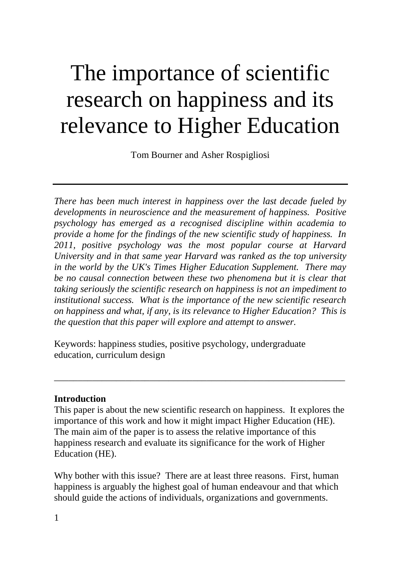# The importance of scientific research on happiness and its relevance to Higher Education

Tom Bourner and Asher Rospigliosi

*There has been much interest in happiness over the last decade fueled by developments in neuroscience and the measurement of happiness. Positive psychology has emerged as a recognised discipline within academia to provide a home for the findings of the new scientific study of happiness. In 2011, positive psychology was the most popular course at Harvard University and in that same year Harvard was ranked as the top university in the world by the UK's Times Higher Education Supplement. There may be no causal connection between these two phenomena but it is clear that taking seriously the scientific research on happiness is not an impediment to institutional success. What is the importance of the new scientific research on happiness and what, if any, is its relevance to Higher Education? This is the question that this paper will explore and attempt to answer.*

Keywords: happiness studies, positive psychology, undergraduate education, curriculum design

## **Introduction**

This paper is about the new scientific research on happiness. It explores the importance of this work and how it might impact Higher Education (HE). The main aim of the paper is to assess the relative importance of this happiness research and evaluate its significance for the work of Higher Education (HE).

\_\_\_\_\_\_\_\_\_\_\_\_\_\_\_\_\_\_\_\_\_\_\_\_\_\_\_\_\_\_\_\_\_\_\_\_\_\_\_\_\_\_\_\_\_\_\_\_\_\_\_\_\_\_\_\_\_\_\_\_\_

Why bother with this issue? There are at least three reasons. First, human happiness is arguably the highest goal of human endeavour and that which should guide the actions of individuals, organizations and governments.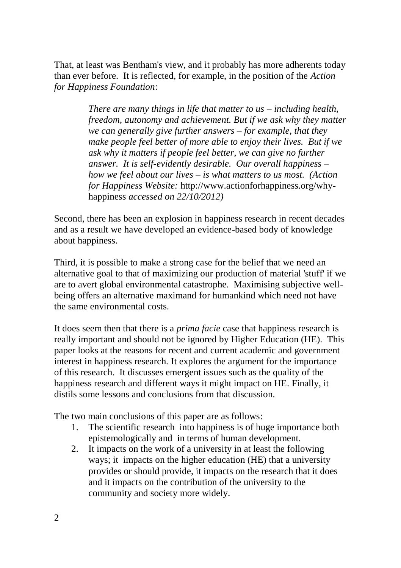That, at least was Bentham's view, and it probably has more adherents today than ever before. It is reflected, for example, in the position of the *Action for Happiness Foundation*:

> *There are many things in life that matter to us – including health, freedom, autonomy and achievement. But if we ask why they matter we can generally give further answers – for example, that they make people feel better of more able to enjoy their lives. But if we ask why it matters if people feel better, we can give no further answer. It is self-evidently desirable. Our overall happiness – how we feel about our lives – is what matters to us most. (Action for Happiness Website:* [http://www.actionforhappiness.org/why](http://www.actionforhappiness.org/why-happiness)[happiness](http://www.actionforhappiness.org/why-happiness) *accessed on 22/10/2012)*

Second, there has been an explosion in happiness research in recent decades and as a result we have developed an evidence-based body of knowledge about happiness.

Third, it is possible to make a strong case for the belief that we need an alternative goal to that of maximizing our production of material 'stuff' if we are to avert global environmental catastrophe. Maximising subjective wellbeing offers an alternative maximand for humankind which need not have the same environmental costs.

It does seem then that there is a *prima facie* case that happiness research is really important and should not be ignored by Higher Education (HE). This paper looks at the reasons for recent and current academic and government interest in happiness research. It explores the argument for the importance of this research. It discusses emergent issues such as the quality of the happiness research and different ways it might impact on HE. Finally, it distils some lessons and conclusions from that discussion.

The two main conclusions of this paper are as follows:

- 1. The scientific research into happiness is of huge importance both epistemologically and in terms of human development.
- 2. It impacts on the work of a university in at least the following ways; it impacts on the higher education (HE) that a university provides or should provide, it impacts on the research that it does and it impacts on the contribution of the university to the community and society more widely.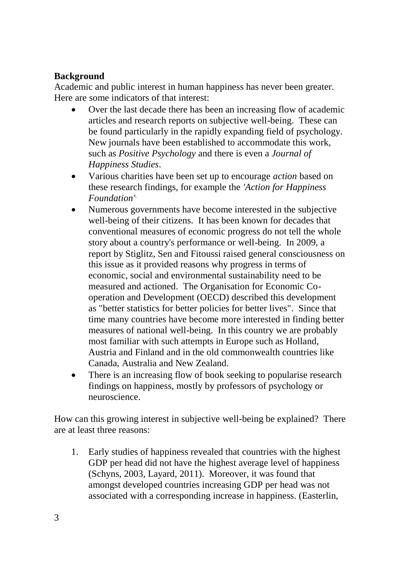## **Background**

Academic and public interest in human happiness has never been greater. Here are some indicators of that interest:

- Over the last decade there has been an increasing flow of academic articles and research reports on subjective well-being. These can be found particularly in the rapidly expanding field of psychology. New journals have been established to accommodate this work, such as *Positive Psychology* and there is even a *Journal of Happiness Studies*.
- Various charities have been set up to encourage *action* based on these research findings, for example the *'Action for Happiness Foundation'*.
- Numerous governments have become interested in the subjective well-being of their citizens. It has been known for decades that conventional measures of economic progress do not tell the whole story about a country's performance or well-being. In 2009, a report by Stiglitz, Sen and Fitoussi raised general consciousness on this issue as it provided reasons why progress in terms of economic, social and environmental sustainability need to be measured and actioned. The Organisation for Economic Cooperation and Development (OECD) described this development as "better statistics for better policies for better lives". Since that time many countries have become more interested in finding better measures of national well-being. In this country we are probably most familiar with such attempts in Europe such as Holland, Austria and Finland and in the old commonwealth countries like Canada, Australia and New Zealand.
- There is an increasing flow of book seeking to popularise research findings on happiness, mostly by professors of psychology or neuroscience.

How can this growing interest in subjective well-being be explained? There are at least three reasons:

1. Early studies of happiness revealed that countries with the highest GDP per head did not have the highest average level of happiness (Schyns, 2003, Layard, 2011). Moreover, it was found that amongst developed countries increasing GDP per head was not associated with a corresponding increase in happiness. (Easterlin,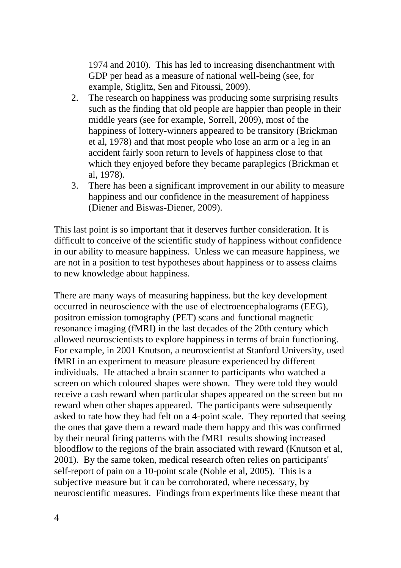1974 and 2010). This has led to increasing disenchantment with GDP per head as a measure of national well-being (see, for example, Stiglitz, Sen and Fitoussi, 2009).

- 2. The research on happiness was producing some surprising results such as the finding that old people are happier than people in their middle years (see for example, Sorrell, 2009), most of the happiness of lottery-winners appeared to be transitory (Brickman et al, 1978) and that most people who lose an arm or a leg in an accident fairly soon return to levels of happiness close to that which they enjoyed before they became paraplegics (Brickman et al, 1978).
- 3. There has been a significant improvement in our ability to measure happiness and our confidence in the measurement of happiness (Diener and Biswas-Diener, 2009).

This last point is so important that it deserves further consideration. It is difficult to conceive of the scientific study of happiness without confidence in our ability to measure happiness. Unless we can measure happiness, we are not in a position to test hypotheses about happiness or to assess claims to new knowledge about happiness.

There are many ways of measuring happiness. but the key development occurred in neuroscience with the use of electroencephalograms (EEG), positron emission tomography (PET) scans and functional magnetic resonance imaging (fMRI) in the last decades of the 20th century which allowed neuroscientists to explore happiness in terms of brain functioning. For example, in 2001 Knutson, a neuroscientist at Stanford University, used fMRI in an experiment to measure pleasure experienced by different individuals. He attached a brain scanner to participants who watched a screen on which coloured shapes were shown. They were told they would receive a cash reward when particular shapes appeared on the screen but no reward when other shapes appeared. The participants were subsequently asked to rate how they had felt on a 4-point scale. They reported that seeing the ones that gave them a reward made them happy and this was confirmed by their neural firing patterns with the fMRI results showing increased bloodflow to the regions of the brain associated with reward (Knutson et al, 2001). By the same token, medical research often relies on participants' self-report of pain on a 10-point scale (Noble et al, 2005). This is a subjective measure but it can be corroborated, where necessary, by neuroscientific measures. Findings from experiments like these meant that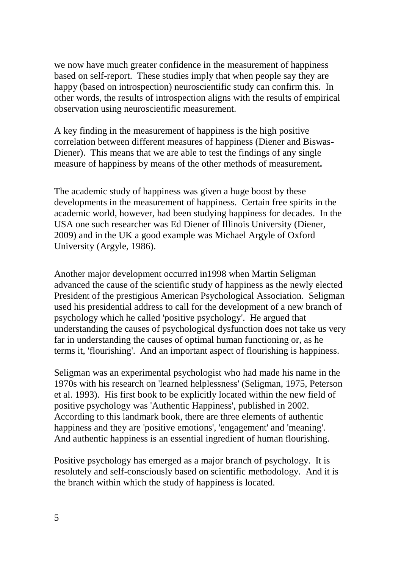we now have much greater confidence in the measurement of happiness based on self-report. These studies imply that when people say they are happy (based on introspection) neuroscientific study can confirm this. In other words, the results of introspection aligns with the results of empirical observation using neuroscientific measurement.

A key finding in the measurement of happiness is the high positive correlation between different measures of happiness (Diener and Biswas-Diener). This means that we are able to test the findings of any single measure of happiness by means of the other methods of measurement**.**

The academic study of happiness was given a huge boost by these developments in the measurement of happiness. Certain free spirits in the academic world, however, had been studying happiness for decades. In the USA one such researcher was Ed Diener of Illinois University (Diener, 2009) and in the UK a good example was Michael Argyle of Oxford University (Argyle, 1986).

Another major development occurred in1998 when Martin Seligman advanced the cause of the scientific study of happiness as the newly elected President of the prestigious American Psychological Association. Seligman used his presidential address to call for the development of a new branch of psychology which he called 'positive psychology'. He argued that understanding the causes of psychological dysfunction does not take us very far in understanding the causes of optimal human functioning or, as he terms it, 'flourishing'. And an important aspect of flourishing is happiness.

Seligman was an experimental psychologist who had made his name in the 1970s with his research on 'learned helplessness' (Seligman, 1975, Peterson et al. 1993). His first book to be explicitly located within the new field of positive psychology was 'Authentic Happiness', published in 2002. According to this landmark book, there are three elements of authentic happiness and they are 'positive emotions', 'engagement' and 'meaning'. And authentic happiness is an essential ingredient of human flourishing.

Positive psychology has emerged as a major branch of psychology. It is resolutely and self-consciously based on scientific methodology. And it is the branch within which the study of happiness is located.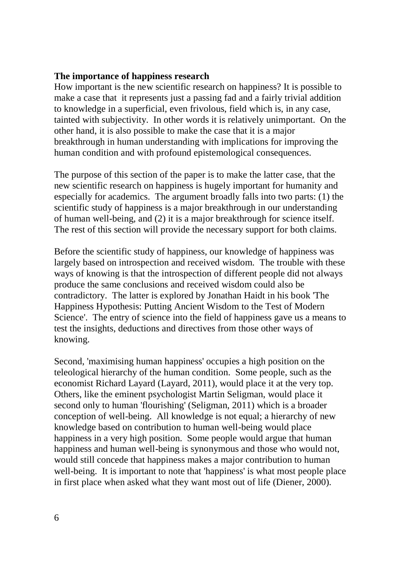#### **The importance of happiness research**

How important is the new scientific research on happiness? It is possible to make a case that it represents just a passing fad and a fairly trivial addition to knowledge in a superficial, even frivolous, field which is, in any case, tainted with subjectivity. In other words it is relatively unimportant. On the other hand, it is also possible to make the case that it is a major breakthrough in human understanding with implications for improving the human condition and with profound epistemological consequences.

The purpose of this section of the paper is to make the latter case, that the new scientific research on happiness is hugely important for humanity and especially for academics. The argument broadly falls into two parts: (1) the scientific study of happiness is a major breakthrough in our understanding of human well-being, and (2) it is a major breakthrough for science itself. The rest of this section will provide the necessary support for both claims.

Before the scientific study of happiness, our knowledge of happiness was largely based on introspection and received wisdom. The trouble with these ways of knowing is that the introspection of different people did not always produce the same conclusions and received wisdom could also be contradictory. The latter is explored by Jonathan Haidt in his book 'The Happiness Hypothesis: Putting Ancient Wisdom to the Test of Modern Science'. The entry of science into the field of happiness gave us a means to test the insights, deductions and directives from those other ways of knowing.

Second, 'maximising human happiness' occupies a high position on the teleological hierarchy of the human condition. Some people, such as the economist Richard Layard (Layard, 2011), would place it at the very top. Others, like the eminent psychologist Martin Seligman, would place it second only to human 'flourishing' (Seligman, 2011) which is a broader conception of well-being. All knowledge is not equal; a hierarchy of new knowledge based on contribution to human well-being would place happiness in a very high position. Some people would argue that human happiness and human well-being is synonymous and those who would not, would still concede that happiness makes a major contribution to human well-being. It is important to note that 'happiness' is what most people place in first place when asked what they want most out of life (Diener, 2000).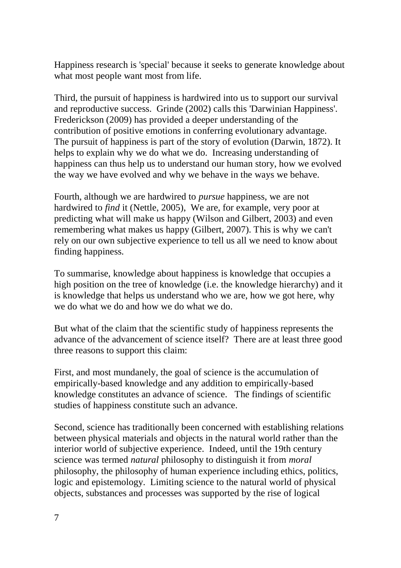Happiness research is 'special' because it seeks to generate knowledge about what most people want most from life.

Third, the pursuit of happiness is hardwired into us to support our survival and reproductive success. Grinde (2002) calls this 'Darwinian Happiness'. Frederickson (2009) has provided a deeper understanding of the contribution of positive emotions in conferring evolutionary advantage. The pursuit of happiness is part of the story of evolution (Darwin, 1872). It helps to explain why we do what we do. Increasing understanding of happiness can thus help us to understand our human story, how we evolved the way we have evolved and why we behave in the ways we behave.

Fourth, although we are hardwired to *pursue* happiness, we are not hardwired to *find* it (Nettle, 2005), We are, for example, very poor at predicting what will make us happy (Wilson and Gilbert, 2003) and even remembering what makes us happy (Gilbert, 2007). This is why we can't rely on our own subjective experience to tell us all we need to know about finding happiness.

To summarise, knowledge about happiness is knowledge that occupies a high position on the tree of knowledge (i.e. the knowledge hierarchy) and it is knowledge that helps us understand who we are, how we got here, why we do what we do and how we do what we do.

But what of the claim that the scientific study of happiness represents the advance of the advancement of science itself? There are at least three good three reasons to support this claim:

First, and most mundanely, the goal of science is the accumulation of empirically-based knowledge and any addition to empirically-based knowledge constitutes an advance of science. The findings of scientific studies of happiness constitute such an advance.

Second, science has traditionally been concerned with establishing relations between physical materials and objects in the natural world rather than the interior world of subjective experience. Indeed, until the 19th century science was termed *natural* philosophy to distinguish it from *moral* philosophy, the philosophy of human experience including ethics, politics, logic and epistemology. Limiting science to the natural world of physical objects, substances and processes was supported by the rise of logical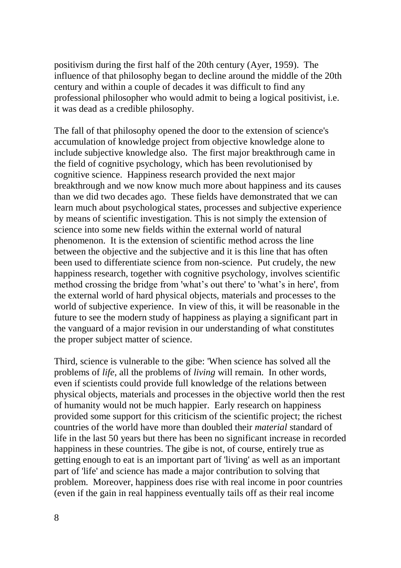positivism during the first half of the 20th century (Ayer, 1959). The influence of that philosophy began to decline around the middle of the 20th century and within a couple of decades it was difficult to find any professional philosopher who would admit to being a logical positivist, i.e. it was dead as a credible philosophy.

The fall of that philosophy opened the door to the extension of science's accumulation of knowledge project from objective knowledge alone to include subjective knowledge also. The first major breakthrough came in the field of cognitive psychology, which has been revolutionised by cognitive science. Happiness research provided the next major breakthrough and we now know much more about happiness and its causes than we did two decades ago. These fields have demonstrated that we can learn much about psychological states, processes and subjective experience by means of scientific investigation. This is not simply the extension of science into some new fields within the external world of natural phenomenon. It is the extension of scientific method across the line between the objective and the subjective and it is this line that has often been used to differentiate science from non-science. Put crudely, the new happiness research, together with cognitive psychology, involves scientific method crossing the bridge from 'what's out there' to 'what's in here', from the external world of hard physical objects, materials and processes to the world of subjective experience. In view of this, it will be reasonable in the future to see the modern study of happiness as playing a significant part in the vanguard of a major revision in our understanding of what constitutes the proper subject matter of science.

Third, science is vulnerable to the gibe: 'When science has solved all the problems of *life*, all the problems of *living* will remain. In other words, even if scientists could provide full knowledge of the relations between physical objects, materials and processes in the objective world then the rest of humanity would not be much happier. Early research on happiness provided some support for this criticism of the scientific project; the richest countries of the world have more than doubled their *material* standard of life in the last 50 years but there has been no significant increase in recorded happiness in these countries. The gibe is not, of course, entirely true as getting enough to eat is an important part of 'living' as well as an important part of 'life' and science has made a major contribution to solving that problem. Moreover, happiness does rise with real income in poor countries (even if the gain in real happiness eventually tails off as their real income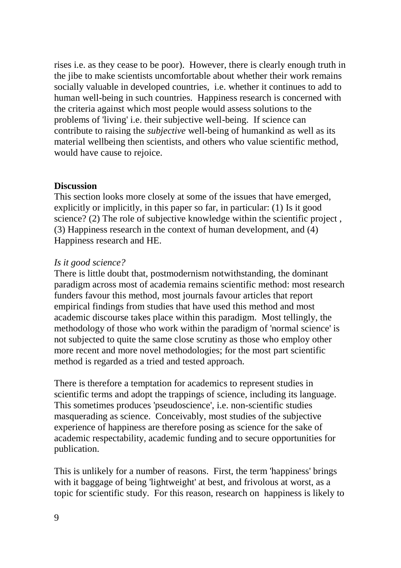rises i.e. as they cease to be poor). However, there is clearly enough truth in the jibe to make scientists uncomfortable about whether their work remains socially valuable in developed countries, i.e. whether it continues to add to human well-being in such countries. Happiness research is concerned with the criteria against which most people would assess solutions to the problems of 'living' i.e. their subjective well-being. If science can contribute to raising the *subjective* well-being of humankind as well as its material wellbeing then scientists, and others who value scientific method, would have cause to rejoice.

## **Discussion**

This section looks more closely at some of the issues that have emerged, explicitly or implicitly, in this paper so far, in particular: (1) Is it good science? (2) The role of subjective knowledge within the scientific project , (3) Happiness research in the context of human development, and (4) Happiness research and HE.

#### *Is it good science?*

There is little doubt that, postmodernism notwithstanding, the dominant paradigm across most of academia remains scientific method: most research funders favour this method, most journals favour articles that report empirical findings from studies that have used this method and most academic discourse takes place within this paradigm. Most tellingly, the methodology of those who work within the paradigm of 'normal science' is not subjected to quite the same close scrutiny as those who employ other more recent and more novel methodologies; for the most part scientific method is regarded as a tried and tested approach.

There is therefore a temptation for academics to represent studies in scientific terms and adopt the trappings of science, including its language. This sometimes produces 'pseudoscience', i.e. non-scientific studies masquerading as science. Conceivably, most studies of the subjective experience of happiness are therefore posing as science for the sake of academic respectability, academic funding and to secure opportunities for publication.

This is unlikely for a number of reasons. First, the term 'happiness' brings with it baggage of being 'lightweight' at best, and frivolous at worst, as a topic for scientific study. For this reason, research on happiness is likely to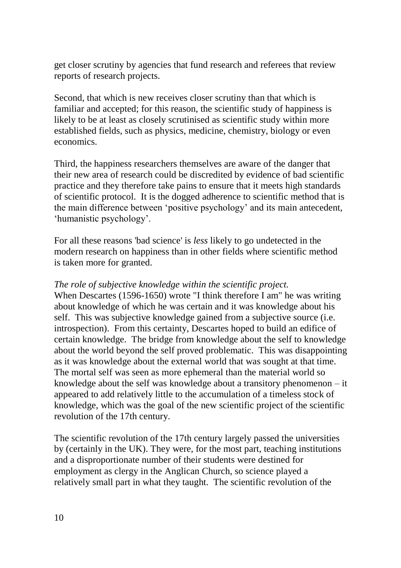get closer scrutiny by agencies that fund research and referees that review reports of research projects.

Second, that which is new receives closer scrutiny than that which is familiar and accepted; for this reason, the scientific study of happiness is likely to be at least as closely scrutinised as scientific study within more established fields, such as physics, medicine, chemistry, biology or even economics.

Third, the happiness researchers themselves are aware of the danger that their new area of research could be discredited by evidence of bad scientific practice and they therefore take pains to ensure that it meets high standards of scientific protocol. It is the dogged adherence to scientific method that is the main difference between 'positive psychology' and its main antecedent, 'humanistic psychology'.

For all these reasons 'bad science' is *less* likely to go undetected in the modern research on happiness than in other fields where scientific method is taken more for granted.

## *The role of subjective knowledge within the scientific project.*

When Descartes (1596-1650) wrote "I think therefore I am" he was writing about knowledge of which he was certain and it was knowledge about his self. This was subjective knowledge gained from a subjective source (i.e. introspection). From this certainty, Descartes hoped to build an edifice of certain knowledge. The bridge from knowledge about the self to knowledge about the world beyond the self proved problematic. This was disappointing as it was knowledge about the external world that was sought at that time. The mortal self was seen as more ephemeral than the material world so knowledge about the self was knowledge about a transitory phenomenon  $-$  it appeared to add relatively little to the accumulation of a timeless stock of knowledge, which was the goal of the new scientific project of the scientific revolution of the 17th century.

The scientific revolution of the 17th century largely passed the universities by (certainly in the UK). They were, for the most part, teaching institutions and a disproportionate number of their students were destined for employment as clergy in the Anglican Church, so science played a relatively small part in what they taught. The scientific revolution of the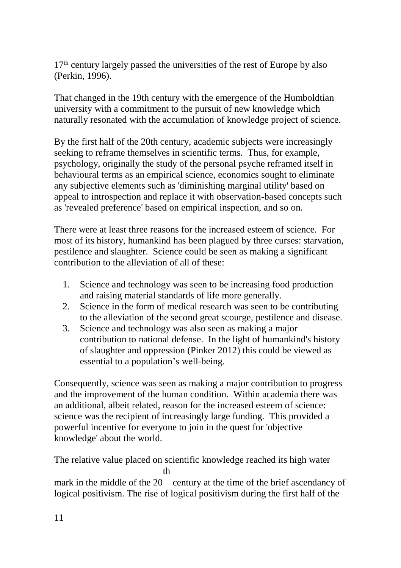$17<sup>th</sup>$  century largely passed the universities of the rest of Europe by also (Perkin, 1996).

That changed in the 19th century with the emergence of the Humboldtian university with a commitment to the pursuit of new knowledge which naturally resonated with the accumulation of knowledge project of science.

By the first half of the 20th century, academic subjects were increasingly seeking to reframe themselves in scientific terms. Thus, for example, psychology, originally the study of the personal psyche reframed itself in behavioural terms as an empirical science, economics sought to eliminate any subjective elements such as 'diminishing marginal utility' based on appeal to introspection and replace it with observation-based concepts such as 'revealed preference' based on empirical inspection, and so on.

There were at least three reasons for the increased esteem of science. For most of its history, humankind has been plagued by three curses: starvation, pestilence and slaughter. Science could be seen as making a significant contribution to the alleviation of all of these:

- 1. Science and technology was seen to be increasing food production and raising material standards of life more generally.
- 2. Science in the form of medical research was seen to be contributing to the alleviation of the second great scourge, pestilence and disease.
- 3. Science and technology was also seen as making a major contribution to national defense. In the light of humankind's history of slaughter and oppression (Pinker 2012) this could be viewed as essential to a population's well-being.

Consequently, science was seen as making a major contribution to progress and the improvement of the human condition. Within academia there was an additional, albeit related, reason for the increased esteem of science: science was the recipient of increasingly large funding. This provided a powerful incentive for everyone to join in the quest for 'objective knowledge' about the world.

The relative value placed on scientific knowledge reached its high water th

mark in the middle of the 20 century at the time of the brief ascendancy of logical positivism. The rise of logical positivism during the first half of the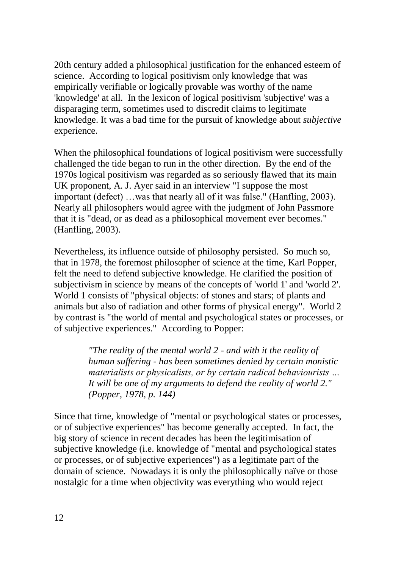20th century added a philosophical justification for the enhanced esteem of science. According to logical positivism only knowledge that was empirically verifiable or logically provable was worthy of the name 'knowledge' at all. In the lexicon of logical positivism 'subjective' was a disparaging term, sometimes used to discredit claims to legitimate knowledge. It was a bad time for the pursuit of knowledge about *subjective* experience.

When the philosophical foundations of logical positivism were successfully challenged the tide began to run in the other direction. By the end of the 1970s logical positivism was regarded as so seriously flawed that its main UK proponent, A. J. Ayer said in an interview "I suppose the most important (defect) …was that nearly all of it was false." (Hanfling, 2003). Nearly all philosophers would agree with the judgment of John Passmore that it is "dead, or as dead as a philosophical movement ever becomes." (Hanfling, 2003).

Nevertheless, its influence outside of philosophy persisted. So much so, that in 1978, the foremost philosopher of science at the time, Karl Popper, felt the need to defend subjective knowledge. He clarified the position of subjectivism in science by means of the concepts of 'world 1' and 'world 2'. World 1 consists of "physical objects: of stones and stars; of plants and animals but also of radiation and other forms of physical energy". World 2 by contrast is "the world of mental and psychological states or processes, or of subjective experiences." According to Popper:

> *"The reality of the mental world 2 - and with it the reality of human suffering - has been sometimes denied by certain monistic materialists or physicalists, or by certain radical behaviourists … It will be one of my arguments to defend the reality of world 2." (Popper, 1978, p. 144)*

Since that time, knowledge of "mental or psychological states or processes, or of subjective experiences" has become generally accepted. In fact, the big story of science in recent decades has been the legitimisation of subjective knowledge (i.e. knowledge of "mental and psychological states or processes, or of subjective experiences") as a legitimate part of the domain of science. Nowadays it is only the philosophically naïve or those nostalgic for a time when objectivity was everything who would reject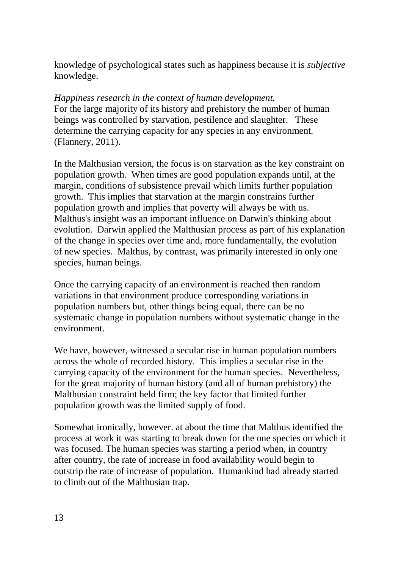knowledge of psychological states such as happiness because it is *subjective* knowledge.

## *Happiness research in the context of human development.*

For the large majority of its history and prehistory the number of human beings was controlled by starvation, pestilence and slaughter. These determine the carrying capacity for any species in any environment. (Flannery, 2011).

In the Malthusian version, the focus is on starvation as the key constraint on population growth. When times are good population expands until, at the margin, conditions of subsistence prevail which limits further population growth. This implies that starvation at the margin constrains further population growth and implies that poverty will always be with us. Malthus's insight was an important influence on Darwin's thinking about evolution. Darwin applied the Malthusian process as part of his explanation of the change in species over time and, more fundamentally, the evolution of new species. Malthus, by contrast, was primarily interested in only one species, human beings.

Once the carrying capacity of an environment is reached then random variations in that environment produce corresponding variations in population numbers but, other things being equal, there can be no systematic change in population numbers without systematic change in the environment.

We have, however, witnessed a secular rise in human population numbers across the whole of recorded history. This implies a secular rise in the carrying capacity of the environment for the human species. Nevertheless, for the great majority of human history (and all of human prehistory) the Malthusian constraint held firm; the key factor that limited further population growth was the limited supply of food.

Somewhat ironically, however. at about the time that Malthus identified the process at work it was starting to break down for the one species on which it was focused. The human species was starting a period when, in country after country, the rate of increase in food availability would begin to outstrip the rate of increase of population. Humankind had already started to climb out of the Malthusian trap.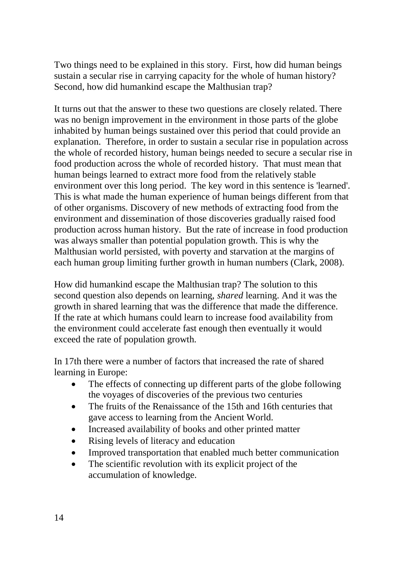Two things need to be explained in this story. First, how did human beings sustain a secular rise in carrying capacity for the whole of human history? Second, how did humankind escape the Malthusian trap?

It turns out that the answer to these two questions are closely related. There was no benign improvement in the environment in those parts of the globe inhabited by human beings sustained over this period that could provide an explanation. Therefore, in order to sustain a secular rise in population across the whole of recorded history, human beings needed to secure a secular rise in food production across the whole of recorded history. That must mean that human beings learned to extract more food from the relatively stable environment over this long period. The key word in this sentence is 'learned'. This is what made the human experience of human beings different from that of other organisms. Discovery of new methods of extracting food from the environment and dissemination of those discoveries gradually raised food production across human history. But the rate of increase in food production was always smaller than potential population growth. This is why the Malthusian world persisted, with poverty and starvation at the margins of each human group limiting further growth in human numbers (Clark, 2008).

How did humankind escape the Malthusian trap? The solution to this second question also depends on learning, *shared* learning. And it was the growth in shared learning that was the difference that made the difference. If the rate at which humans could learn to increase food availability from the environment could accelerate fast enough then eventually it would exceed the rate of population growth.

In 17th there were a number of factors that increased the rate of shared learning in Europe:

- The effects of connecting up different parts of the globe following the voyages of discoveries of the previous two centuries
- The fruits of the Renaissance of the 15th and 16th centuries that gave access to learning from the Ancient World.
- Increased availability of books and other printed matter
- Rising levels of literacy and education
- Improved transportation that enabled much better communication
- The scientific revolution with its explicit project of the accumulation of knowledge.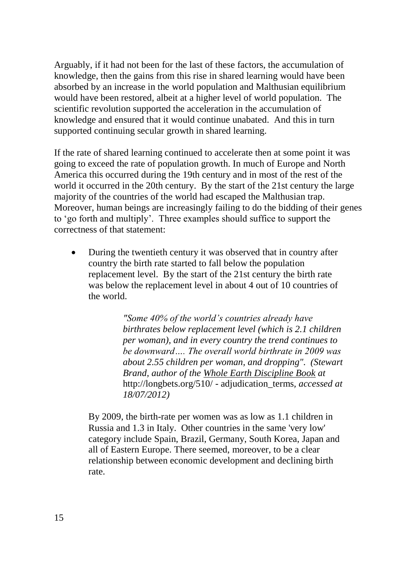Arguably, if it had not been for the last of these factors, the accumulation of knowledge, then the gains from this rise in shared learning would have been absorbed by an increase in the world population and Malthusian equilibrium would have been restored, albeit at a higher level of world population. The scientific revolution supported the acceleration in the accumulation of knowledge and ensured that it would continue unabated. And this in turn supported continuing secular growth in shared learning.

If the rate of shared learning continued to accelerate then at some point it was going to exceed the rate of population growth. In much of Europe and North America this occurred during the 19th century and in most of the rest of the world it occurred in the 20th century. By the start of the 21st century the large majority of the countries of the world had escaped the Malthusian trap. Moreover, human beings are increasingly failing to do the bidding of their genes to 'go forth and multiply'. Three examples should suffice to support the correctness of that statement:

 During the twentieth century it was observed that in country after country the birth rate started to fall below the population replacement level. By the start of the 21st century the birth rate was below the replacement level in about 4 out of 10 countries of the world.

> *"Some 40% of the world's countries already have birthrates below replacement level (which is 2.1 children per woman), and in every country the trend continues to be downward…. The overall world birthrate in 2009 was about 2.55 children per woman, and dropping". (Stewart Brand, author of the Whole Earth Discipline Book at*  [http://longbets.org/510/ -](http://longbets.org/510/#adjudication_terms) adjudication\_terms*, accessed at 18/07/2012)*

By 2009, the birth-rate per women was as low as 1.1 children in Russia and 1.3 in Italy. Other countries in the same 'very low' category include Spain, Brazil, Germany, South Korea, Japan and all of Eastern Europe. There seemed, moreover, to be a clear relationship between economic development and declining birth rate.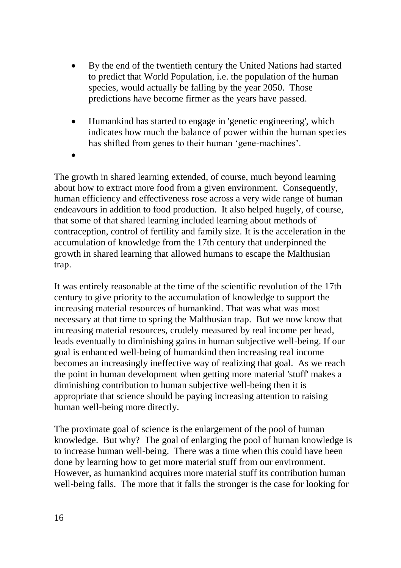- By the end of the twentieth century the United Nations had started to predict that World Population, i.e. the population of the human species, would actually be falling by the year 2050. Those predictions have become firmer as the years have passed.
- Humankind has started to engage in 'genetic engineering', which indicates how much the balance of power within the human species has shifted from genes to their human 'gene-machines'.
- $\bullet$

The growth in shared learning extended, of course, much beyond learning about how to extract more food from a given environment. Consequently, human efficiency and effectiveness rose across a very wide range of human endeavours in addition to food production. It also helped hugely, of course, that some of that shared learning included learning about methods of contraception, control of fertility and family size. It is the acceleration in the accumulation of knowledge from the 17th century that underpinned the growth in shared learning that allowed humans to escape the Malthusian trap.

It was entirely reasonable at the time of the scientific revolution of the 17th century to give priority to the accumulation of knowledge to support the increasing material resources of humankind. That was what was most necessary at that time to spring the Malthusian trap. But we now know that increasing material resources, crudely measured by real income per head, leads eventually to diminishing gains in human subjective well-being. If our goal is enhanced well-being of humankind then increasing real income becomes an increasingly ineffective way of realizing that goal. As we reach the point in human development when getting more material 'stuff' makes a diminishing contribution to human subjective well-being then it is appropriate that science should be paying increasing attention to raising human well-being more directly.

The proximate goal of science is the enlargement of the pool of human knowledge. But why? The goal of enlarging the pool of human knowledge is to increase human well-being. There was a time when this could have been done by learning how to get more material stuff from our environment. However, as humankind acquires more material stuff its contribution human well-being falls. The more that it falls the stronger is the case for looking for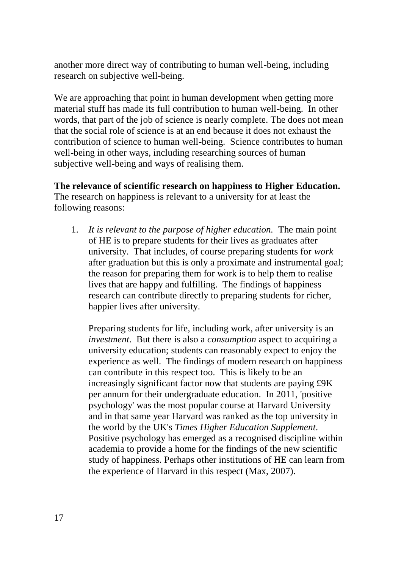another more direct way of contributing to human well-being, including research on subjective well-being.

We are approaching that point in human development when getting more material stuff has made its full contribution to human well-being. In other words, that part of the job of science is nearly complete. The does not mean that the social role of science is at an end because it does not exhaust the contribution of science to human well-being. Science contributes to human well-being in other ways, including researching sources of human subjective well-being and ways of realising them.

**The relevance of scientific research on happiness to Higher Education.**  The research on happiness is relevant to a university for at least the following reasons:

1. *It is relevant to the purpose of higher education.* The main point of HE is to prepare students for their lives as graduates after university. That includes, of course preparing students for *work* after graduation but this is only a proximate and instrumental goal; the reason for preparing them for work is to help them to realise lives that are happy and fulfilling. The findings of happiness research can contribute directly to preparing students for richer, happier lives after university.

Preparing students for life, including work, after university is an *investment*. But there is also a *consumption* aspect to acquiring a university education; students can reasonably expect to enjoy the experience as well. The findings of modern research on happiness can contribute in this respect too. This is likely to be an increasingly significant factor now that students are paying £9K per annum for their undergraduate education. In 2011, 'positive psychology' was the most popular course at Harvard University and in that same year Harvard was ranked as the top university in the world by the UK's *Times Higher Education Supplement*. Positive psychology has emerged as a recognised discipline within academia to provide a home for the findings of the new scientific study of happiness. Perhaps other institutions of HE can learn from the experience of Harvard in this respect (Max, 2007).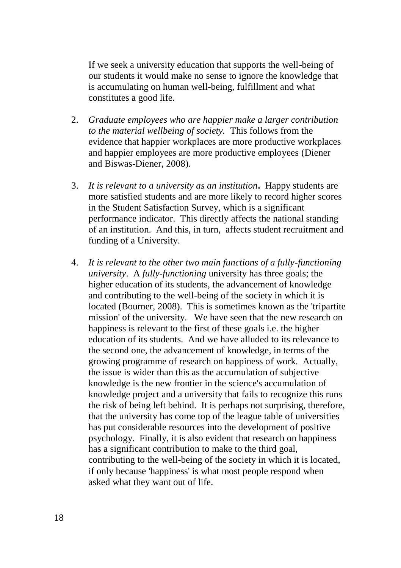If we seek a university education that supports the well-being of our students it would make no sense to ignore the knowledge that is accumulating on human well-being, fulfillment and what constitutes a good life.

- 2. *Graduate employees who are happier make a larger contribution to the material wellbeing of society.* This follows from the evidence that happier workplaces are more productive workplaces and happier employees are more productive employees (Diener and Biswas-Diener, 2008).
- 3. *It is relevant to a university as an institution***.** Happy students are more satisfied students and are more likely to record higher scores in the Student Satisfaction Survey, which is a significant performance indicator. This directly affects the national standing of an institution. And this, in turn, affects student recruitment and funding of a University.
- 4. *It is relevant to the other two main functions of a fully-functioning university*. A *fully-functioning* university has three goals; the higher education of its students, the advancement of knowledge and contributing to the well-being of the society in which it is located (Bourner, 2008). This is sometimes known as the 'tripartite mission' of the university. We have seen that the new research on happiness is relevant to the first of these goals i.e. the higher education of its students. And we have alluded to its relevance to the second one, the advancement of knowledge, in terms of the growing programme of research on happiness of work. Actually, the issue is wider than this as the accumulation of subjective knowledge is the new frontier in the science's accumulation of knowledge project and a university that fails to recognize this runs the risk of being left behind. It is perhaps not surprising, therefore, that the university has come top of the league table of universities has put considerable resources into the development of positive psychology. Finally, it is also evident that research on happiness has a significant contribution to make to the third goal, contributing to the well-being of the society in which it is located, if only because 'happiness' is what most people respond when asked what they want out of life.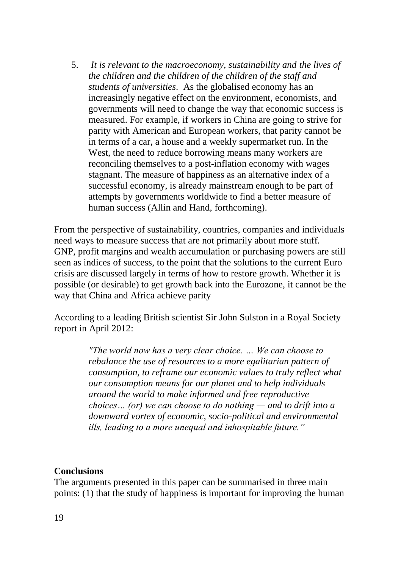5. *It is relevant to the macroeconomy, sustainability and the lives of the children and the children of the children of the staff and students of universities*. As the globalised economy has an increasingly negative effect on the environment, economists, and governments will need to change the way that economic success is measured. For example, if workers in China are going to strive for parity with American and European workers, that parity cannot be in terms of a car, a house and a weekly supermarket run. In the West, the need to reduce borrowing means many workers are reconciling themselves to a post-inflation economy with wages stagnant. The measure of happiness as an alternative index of a successful economy, is already mainstream enough to be part of attempts by governments worldwide to find a better measure of human success (Allin and Hand, forthcoming).

From the perspective of sustainability, countries, companies and individuals need ways to measure success that are not primarily about more stuff. GNP, profit margins and wealth accumulation or purchasing powers are still seen as indices of success, to the point that the solutions to the current Euro crisis are discussed largely in terms of how to restore growth. Whether it is possible (or desirable) to get growth back into the Eurozone, it cannot be the way that China and Africa achieve parity

According to a leading British scientist Sir John Sulston in a Royal Society report in April 2012:

> *"The world now has a very clear choice. … We can choose to rebalance the use of resources to a more egalitarian pattern of consumption, to reframe our economic values to truly reflect what our consumption means for our planet and to help individuals around the world to make informed and free reproductive choices… (or) we can choose to do nothing — and to drift into a downward vortex of economic, socio-political and environmental ills, leading to a more unequal and inhospitable future."*

## **Conclusions**

The arguments presented in this paper can be summarised in three main points: (1) that the study of happiness is important for improving the human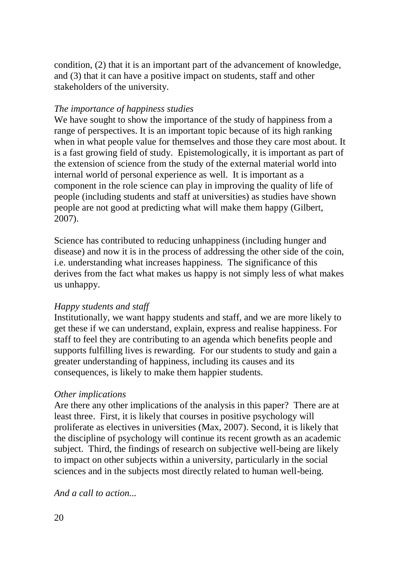condition, (2) that it is an important part of the advancement of knowledge, and (3) that it can have a positive impact on students, staff and other stakeholders of the university.

## *The importance of happiness studies*

We have sought to show the importance of the study of happiness from a range of perspectives. It is an important topic because of its high ranking when in what people value for themselves and those they care most about. It is a fast growing field of study. Epistemologically, it is important as part of the extension of science from the study of the external material world into internal world of personal experience as well. It is important as a component in the role science can play in improving the quality of life of people (including students and staff at universities) as studies have shown people are not good at predicting what will make them happy (Gilbert, 2007).

Science has contributed to reducing unhappiness (including hunger and disease) and now it is in the process of addressing the other side of the coin, i.e. understanding what increases happiness. The significance of this derives from the fact what makes us happy is not simply less of what makes us unhappy.

## *Happy students and staff*

Institutionally, we want happy students and staff, and we are more likely to get these if we can understand, explain, express and realise happiness. For staff to feel they are contributing to an agenda which benefits people and supports fulfilling lives is rewarding. For our students to study and gain a greater understanding of happiness, including its causes and its consequences, is likely to make them happier students.

## *Other implications*

Are there any other implications of the analysis in this paper? There are at least three. First, it is likely that courses in positive psychology will proliferate as electives in universities (Max, 2007). Second, it is likely that the discipline of psychology will continue its recent growth as an academic subject. Third, the findings of research on subjective well-being are likely to impact on other subjects within a university, particularly in the social sciences and in the subjects most directly related to human well-being.

*And a call to action...*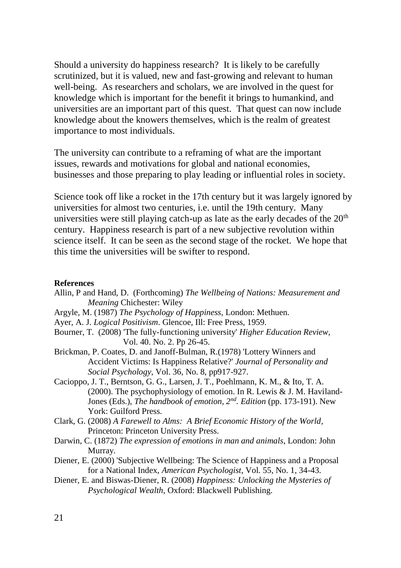Should a university do happiness research? It is likely to be carefully scrutinized, but it is valued, new and fast-growing and relevant to human well-being. As researchers and scholars, we are involved in the quest for knowledge which is important for the benefit it brings to humankind, and universities are an important part of this quest. That quest can now include knowledge about the knowers themselves, which is the realm of greatest importance to most individuals.

The university can contribute to a reframing of what are the important issues, rewards and motivations for global and national economies, businesses and those preparing to play leading or influential roles in society.

Science took off like a rocket in the 17th century but it was largely ignored by universities for almost two centuries, i.e. until the 19th century. Many universities were still playing catch-up as late as the early decades of the  $20<sup>th</sup>$ century. Happiness research is part of a new subjective revolution within science itself. It can be seen as the second stage of the rocket. We hope that this time the universities will be swifter to respond.

#### **References**

- Allin, P and Hand, D. (Forthcoming) *The Wellbeing of Nations: Measurement and Meaning* Chichester: Wiley
- Argyle, M. (1987) *The Psychology of Happiness*, London: Methuen.
- Ayer, A. J. *Logical Positivism*. Glencoe, Ill: Free Press, 1959.
- Bourner, T. (2008) 'The fully-functioning university' *Higher Education Review*, Vol. 40. No. 2. Pp 26-45.
- Brickman, P. Coates, D. and Janoff-Bulman, R.(1978) 'Lottery Winners and Accident Victims: Is Happiness Relative?' *Journal of Personality and Social Psychology*, Vol. 36, No. 8, pp917-927.
- Cacioppo, J. T., Berntson, G. G., Larsen, J. T., Poehlmann, K. M., & Ito, T. A. (2000). The psychophysiology of emotion. In R. Lewis & J. M. Haviland-Jones (Eds.), *The handbook of emotion, 2nd. Edition* (pp. 173-191). New York: Guilford Press.
- Clark, G. (2008) *A Farewell to Alms: A Brief Economic History of the World*, Princeton: Princeton University Press.
- Darwin, C. (1872) *The expression of emotions in man and animals*, London: John Murray.
- Diener, E. (2000) 'Subjective Wellbeing: The Science of Happiness and a Proposal for a National Index, *American Psychologist*, Vol. 55, No. 1, 34-43.
- Diener, E. and Biswas-Diener, R. (2008) *Happiness: Unlocking the Mysteries of Psychological Wealth*, Oxford: Blackwell Publishing.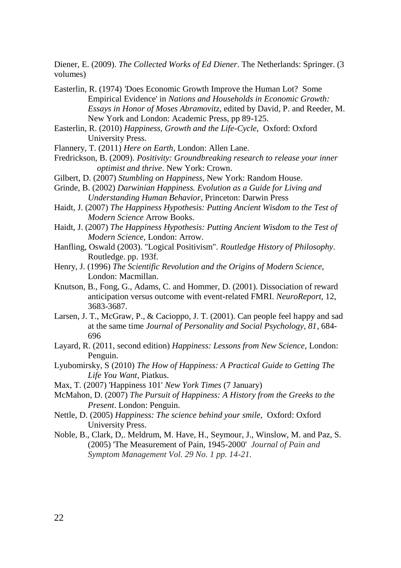Diener, E. (2009). *The Collected Works of Ed Diener*. The Netherlands: Springer. (3 volumes)

Easterlin, R. (1974) *'*Does Economic Growth Improve the Human Lot? Some Empirical Evidence' in *Nations and Households in Economic Growth: Essays in Honor of Moses Abramovitz*, edited by David, P. and Reeder, M. New York and London: Academic Press, pp 89-125.

- Easterlin, R. (2010) *Happiness, Growth and the Life-Cycle*, Oxford: Oxford University Press.
- Flannery, T. (2011) *Here on Earth*, London: Allen Lane.
- Fredrickson, B. (2009). *Positivity: Groundbreaking research to release your inner optimist and thrive*. New York: Crown.
- Gilbert, D. (2007) *Stumbling on Happiness*, New York: Random House.
- Grinde, B. (2002) *Darwinian Happiness. Evolution as a Guide for Living and Understanding Human Behavior*, Princeton: Darwin Press
- Haidt, J. (2007) *The Happiness Hypothesis: Putting Ancient Wisdom to the Test of Modern Science* Arrow Books.
- Haidt, J. (2007) *The Happiness Hypothesis: Putting Ancient Wisdom to the Test of Modern Science*, London: Arrow.
- Hanfling, Oswald (2003). "Logical Positivism". *Routledge History of Philosophy*. Routledge. pp. 193f.
- Henry, J. (1996) *The Scientific Revolution and the Origins of Modern Science*, London: Macmillan.
- Knutson, B., Fong, G., Adams, C. and Hommer, D. (2001). Dissociation of reward anticipation versus outcome with event-related FMRI. *NeuroReport,* 12, 3683-3687.
- Larsen, J. T., McGraw, P., & Cacioppo, J. T. (2001). Can people feel happy and sad at the same time *Journal of Personality and Social Psychology, 81*, 684- 696
- Layard, R. (2011, second edition) *Happiness: Lessons from New Science*, London: Penguin.
- Lyubomirsky, S (2010) *The How of Happiness: A Practical Guide to Getting The Life You Want*, Piatkus.
- Max, T. (2007) 'Happiness 101' *New York Times* (7 January)
- McMahon, D. (2007) *The Pursuit of Happiness: A History from the Greeks to the Present*. London: Penguin.
- Nettle, D. (2005) *Happiness: The science behind your smile,* Oxford: Oxford University Press.
- Noble, B., Clark, D,. Meldrum, M. Have, H., Seymour, J., Winslow, M. and Paz, S. (2005) 'The Measurement of Pain, 1945-2000' *Journal of Pain and Symptom Management Vol. 29 No. 1 pp. 14-21.*